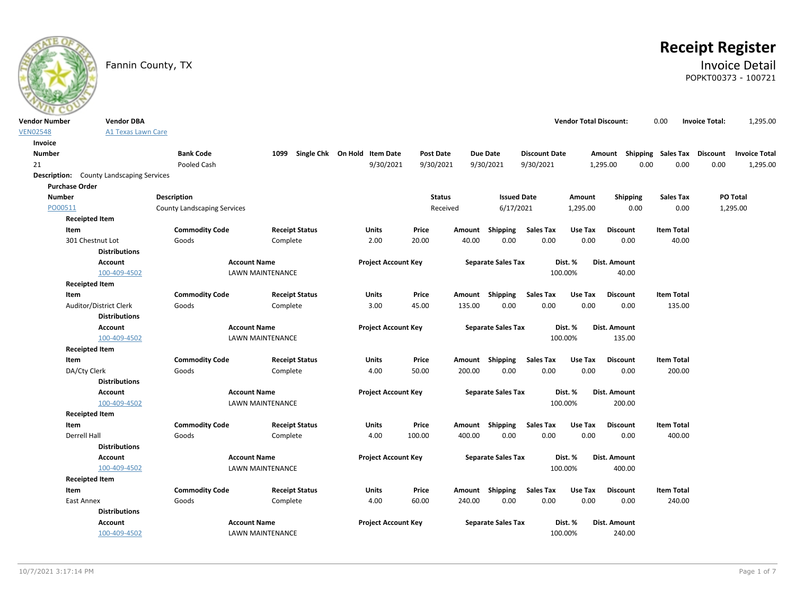

# **Receipt Register**

### Fannin County, TX **Invoice Detail** POPKT00373 - 100721

| <b>Vendor Number</b> | <b>Vendor DBA</b>                               |                                    |                         |                              |                  |        |                           |                          | <b>Vendor Total Discount:</b> |                                    | 0.00                        | <b>Invoice Total:</b> | 1,295.00             |
|----------------------|-------------------------------------------------|------------------------------------|-------------------------|------------------------------|------------------|--------|---------------------------|--------------------------|-------------------------------|------------------------------------|-----------------------------|-----------------------|----------------------|
| <b>VEN02548</b>      | A1 Texas Lawn Care                              |                                    |                         |                              |                  |        |                           |                          |                               |                                    |                             |                       |                      |
| Invoice              |                                                 |                                    |                         |                              |                  |        |                           |                          |                               |                                    |                             |                       |                      |
| <b>Number</b>        |                                                 | <b>Bank Code</b>                   | 1099                    | Single Chk On Hold Item Date | <b>Post Date</b> |        | <b>Due Date</b>           | <b>Discount Date</b>     |                               | Amount Shipping Sales Tax Discount |                             |                       | <b>Invoice Total</b> |
| 21                   |                                                 | Pooled Cash                        |                         | 9/30/2021                    | 9/30/2021        |        | 9/30/2021                 | 9/30/2021                |                               | 0.00<br>1,295.00                   | 0.00                        | 0.00                  | 1,295.00             |
|                      | <b>Description:</b> County Landscaping Services |                                    |                         |                              |                  |        |                           |                          |                               |                                    |                             |                       |                      |
|                      | <b>Purchase Order</b>                           |                                    |                         |                              |                  |        |                           |                          |                               |                                    |                             |                       |                      |
| <b>Number</b>        |                                                 | <b>Description</b>                 |                         |                              | <b>Status</b>    |        | <b>Issued Date</b>        |                          | Amount                        | Shipping                           | <b>Sales Tax</b>            |                       | PO Total             |
| PO00511              |                                                 | <b>County Landscaping Services</b> |                         |                              | Received         |        | 6/17/2021                 |                          | 1,295.00                      | 0.00                               | 0.00                        |                       | 1,295.00             |
|                      | <b>Receipted Item</b>                           |                                    |                         |                              |                  |        |                           |                          |                               |                                    |                             |                       |                      |
|                      | Item                                            | <b>Commodity Code</b>              | <b>Receipt Status</b>   | Units                        | Price            | Amount | Shipping                  | <b>Sales Tax</b>         | Use Tax                       | <b>Discount</b>                    | <b>Item Total</b>           |                       |                      |
|                      | 301 Chestnut Lot                                | Goods                              | Complete                | 2.00                         | 20.00            | 40.00  | 0.00                      | 0.00                     | 0.00                          | 0.00                               | 40.00                       |                       |                      |
|                      | <b>Distributions</b>                            |                                    |                         |                              |                  |        |                           |                          |                               |                                    |                             |                       |                      |
|                      | <b>Account</b>                                  |                                    | <b>Account Name</b>     | <b>Project Account Key</b>   |                  |        | <b>Separate Sales Tax</b> |                          | Dist. %                       | Dist. Amount                       |                             |                       |                      |
|                      | 100-409-4502                                    |                                    | LAWN MAINTENANCE        |                              |                  |        |                           |                          | 100.00%                       | 40.00                              |                             |                       |                      |
|                      | <b>Receipted Item</b>                           |                                    |                         |                              |                  |        |                           |                          |                               |                                    |                             |                       |                      |
|                      | Item                                            | <b>Commodity Code</b>              | <b>Receipt Status</b>   | Units                        | Price            |        | Amount Shipping           | <b>Sales Tax</b>         | Use Tax                       | <b>Discount</b>                    | <b>Item Total</b>           |                       |                      |
|                      | Auditor/District Clerk                          | Goods                              | Complete                | 3.00                         | 45.00            | 135.00 | 0.00                      | 0.00                     | 0.00                          | 0.00                               | 135.00                      |                       |                      |
|                      | <b>Distributions</b>                            |                                    |                         |                              |                  |        |                           |                          |                               |                                    |                             |                       |                      |
|                      | <b>Account</b>                                  |                                    | <b>Account Name</b>     | <b>Project Account Key</b>   |                  |        | <b>Separate Sales Tax</b> |                          | Dist. %                       | Dist. Amount                       |                             |                       |                      |
|                      | 100-409-4502                                    |                                    | LAWN MAINTENANCE        |                              |                  |        |                           |                          | 100.00%                       | 135.00                             |                             |                       |                      |
|                      | <b>Receipted Item</b>                           |                                    |                         |                              |                  |        |                           |                          |                               |                                    |                             |                       |                      |
|                      | Item                                            | <b>Commodity Code</b>              | <b>Receipt Status</b>   | Units                        | Price            |        | Amount Shipping           | Sales Tax                | Use Tax                       | <b>Discount</b>                    | <b>Item Total</b>           |                       |                      |
|                      | DA/Cty Clerk                                    | Goods                              | Complete                | 4.00                         | 50.00            | 200.00 | 0.00                      | 0.00                     | 0.00                          | 0.00                               | 200.00                      |                       |                      |
|                      | <b>Distributions</b>                            |                                    |                         |                              |                  |        |                           |                          |                               |                                    |                             |                       |                      |
|                      | <b>Account</b>                                  |                                    | <b>Account Name</b>     | <b>Project Account Key</b>   |                  |        | <b>Separate Sales Tax</b> |                          | Dist. %                       | Dist. Amount                       |                             |                       |                      |
|                      | 100-409-4502                                    |                                    | LAWN MAINTENANCE        |                              |                  |        |                           |                          | 100.00%                       | 200.00                             |                             |                       |                      |
|                      | <b>Receipted Item</b>                           |                                    |                         |                              |                  |        |                           |                          |                               |                                    |                             |                       |                      |
|                      | Item<br>Derrell Hall                            | <b>Commodity Code</b><br>Goods     | <b>Receipt Status</b>   | Units<br>4.00                | Price<br>100.00  | 400.00 | Amount Shipping<br>0.00   | <b>Sales Tax</b><br>0.00 | Use Tax<br>0.00               | <b>Discount</b><br>0.00            | <b>Item Total</b><br>400.00 |                       |                      |
|                      | <b>Distributions</b>                            |                                    | Complete                |                              |                  |        |                           |                          |                               |                                    |                             |                       |                      |
|                      | <b>Account</b>                                  |                                    | <b>Account Name</b>     | <b>Project Account Key</b>   |                  |        | <b>Separate Sales Tax</b> |                          | Dist. %                       | Dist. Amount                       |                             |                       |                      |
|                      | 100-409-4502                                    |                                    | <b>LAWN MAINTENANCE</b> |                              |                  |        |                           |                          | 100.00%                       | 400.00                             |                             |                       |                      |
|                      | <b>Receipted Item</b>                           |                                    |                         |                              |                  |        |                           |                          |                               |                                    |                             |                       |                      |
|                      | Item                                            | <b>Commodity Code</b>              | <b>Receipt Status</b>   | Units                        | Price            |        | Amount Shipping           | <b>Sales Tax</b>         | Use Tax                       | <b>Discount</b>                    | <b>Item Total</b>           |                       |                      |
|                      | East Annex                                      | Goods                              | Complete                | 4.00                         | 60.00            | 240.00 | 0.00                      | 0.00                     | 0.00                          | 0.00                               | 240.00                      |                       |                      |
|                      | <b>Distributions</b>                            |                                    |                         |                              |                  |        |                           |                          |                               |                                    |                             |                       |                      |
|                      | <b>Account</b>                                  |                                    | <b>Account Name</b>     | <b>Project Account Key</b>   |                  |        | <b>Separate Sales Tax</b> |                          | Dist. %                       | Dist. Amount                       |                             |                       |                      |
|                      | 100-409-4502                                    |                                    | LAWN MAINTENANCE        |                              |                  |        |                           |                          | 100.00%                       | 240.00                             |                             |                       |                      |
|                      |                                                 |                                    |                         |                              |                  |        |                           |                          |                               |                                    |                             |                       |                      |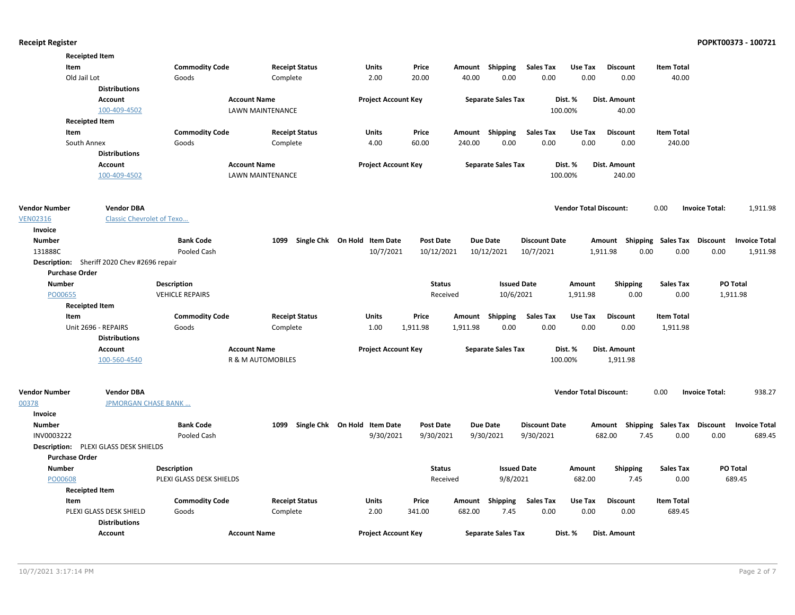|                          | <b>Receipted Item</b>                        |                          |                       |                              |                  |          |                           |                      |                               |                                                        |                           |                       |                      |
|--------------------------|----------------------------------------------|--------------------------|-----------------------|------------------------------|------------------|----------|---------------------------|----------------------|-------------------------------|--------------------------------------------------------|---------------------------|-----------------------|----------------------|
|                          | Item                                         | <b>Commodity Code</b>    | <b>Receipt Status</b> | Units                        | Price            |          | Amount Shipping           | <b>Sales Tax</b>     | Use Tax                       | <b>Discount</b>                                        | <b>Item Total</b>         |                       |                      |
|                          | Old Jail Lot                                 | Goods                    | Complete              | 2.00                         | 20.00            | 40.00    | 0.00                      | 0.00                 | 0.00                          | 0.00                                                   | 40.00                     |                       |                      |
|                          | <b>Distributions</b>                         |                          |                       |                              |                  |          |                           |                      |                               |                                                        |                           |                       |                      |
|                          | <b>Account</b>                               |                          | <b>Account Name</b>   | <b>Project Account Key</b>   |                  |          | <b>Separate Sales Tax</b> |                      | Dist. %                       | Dist. Amount                                           |                           |                       |                      |
|                          | 100-409-4502                                 |                          | LAWN MAINTENANCE      |                              |                  |          |                           | 100.00%              |                               | 40.00                                                  |                           |                       |                      |
|                          | <b>Receipted Item</b>                        |                          |                       |                              |                  |          |                           |                      |                               |                                                        |                           |                       |                      |
|                          | Item                                         | <b>Commodity Code</b>    | <b>Receipt Status</b> | <b>Units</b>                 | Price            |          | Amount Shipping           | <b>Sales Tax</b>     | Use Tax                       | <b>Discount</b>                                        | <b>Item Total</b>         |                       |                      |
|                          | South Annex                                  | Goods                    | Complete              | 4.00                         | 60.00            | 240.00   | 0.00                      | 0.00                 | 0.00                          | 0.00                                                   | 240.00                    |                       |                      |
|                          | <b>Distributions</b>                         |                          |                       |                              |                  |          |                           |                      |                               |                                                        |                           |                       |                      |
|                          | <b>Account</b>                               |                          | <b>Account Name</b>   | <b>Project Account Key</b>   |                  |          | <b>Separate Sales Tax</b> |                      | Dist. %                       | Dist. Amount                                           |                           |                       |                      |
|                          | 100-409-4502                                 |                          | LAWN MAINTENANCE      |                              |                  |          |                           | 100.00%              |                               | 240.00                                                 |                           |                       |                      |
| <b>Vendor Number</b>     |                                              |                          |                       |                              |                  |          |                           |                      | <b>Vendor Total Discount:</b> |                                                        | 0.00                      |                       |                      |
| <b>VEN02316</b>          | <b>Vendor DBA</b>                            |                          |                       |                              |                  |          |                           |                      |                               |                                                        |                           | <b>Invoice Total:</b> | 1,911.98             |
|                          | <b>Classic Chevrolet of Texo</b>             |                          |                       |                              |                  |          |                           |                      |                               |                                                        |                           |                       |                      |
| Invoice<br><b>Number</b> |                                              | <b>Bank Code</b>         | 1099                  | Single Chk On Hold Item Date | <b>Post Date</b> |          | <b>Due Date</b>           | <b>Discount Date</b> |                               |                                                        |                           |                       | <b>Invoice Total</b> |
| 131888C                  |                                              | Pooled Cash              |                       | 10/7/2021                    | 10/12/2021       |          | 10/12/2021                | 10/7/2021            |                               | Amount Shipping Sales Tax Discount<br>1,911.98<br>0.00 | 0.00                      | 0.00                  | 1,911.98             |
|                          | Description: Sheriff 2020 Chev #2696 repair  |                          |                       |                              |                  |          |                           |                      |                               |                                                        |                           |                       |                      |
|                          | <b>Purchase Order</b>                        |                          |                       |                              |                  |          |                           |                      |                               |                                                        |                           |                       |                      |
| <b>Number</b>            |                                              | <b>Description</b>       |                       |                              | <b>Status</b>    |          | <b>Issued Date</b>        |                      | Amount                        | <b>Shipping</b>                                        | <b>Sales Tax</b>          |                       | PO Total             |
| PO00655                  |                                              | <b>VEHICLE REPAIRS</b>   |                       |                              |                  | Received | 10/6/2021                 |                      | 1,911.98                      | 0.00                                                   | 0.00                      |                       | 1,911.98             |
|                          | <b>Receipted Item</b>                        |                          |                       |                              |                  |          |                           |                      |                               |                                                        |                           |                       |                      |
|                          | Item                                         | <b>Commodity Code</b>    | <b>Receipt Status</b> | Units                        | Price            |          | Amount Shipping           | <b>Sales Tax</b>     | Use Tax                       | <b>Discount</b>                                        | <b>Item Total</b>         |                       |                      |
|                          | Unit 2696 - REPAIRS                          | Goods                    | Complete              | 1.00                         | 1,911.98         | 1,911.98 | 0.00                      | 0.00                 | 0.00                          | 0.00                                                   | 1,911.98                  |                       |                      |
|                          | <b>Distributions</b>                         |                          |                       |                              |                  |          |                           |                      |                               |                                                        |                           |                       |                      |
|                          | <b>Account</b>                               |                          | <b>Account Name</b>   | <b>Project Account Key</b>   |                  |          | <b>Separate Sales Tax</b> |                      | Dist. %                       | <b>Dist. Amount</b>                                    |                           |                       |                      |
|                          | 100-560-4540                                 |                          | R & M AUTOMOBILES     |                              |                  |          |                           | 100.00%              |                               | 1,911.98                                               |                           |                       |                      |
|                          |                                              |                          |                       |                              |                  |          |                           |                      |                               |                                                        |                           |                       |                      |
| <b>Vendor Number</b>     | <b>Vendor DBA</b>                            |                          |                       |                              |                  |          |                           |                      | <b>Vendor Total Discount:</b> |                                                        | 0.00                      | <b>Invoice Total:</b> | 938.27               |
| 00378                    | <b>JPMORGAN CHASE BANK </b>                  |                          |                       |                              |                  |          |                           |                      |                               |                                                        |                           |                       |                      |
| Invoice                  |                                              |                          |                       |                              |                  |          |                           |                      |                               |                                                        |                           |                       |                      |
| <b>Number</b>            |                                              | <b>Bank Code</b>         | 1099                  | Single Chk On Hold Item Date | Post Date        |          | <b>Due Date</b>           | <b>Discount Date</b> |                               | Amount Shipping                                        | <b>Sales Tax Discount</b> |                       | <b>Invoice Total</b> |
| INV0003222               |                                              | Pooled Cash              |                       | 9/30/2021                    | 9/30/2021        |          | 9/30/2021                 | 9/30/2021            |                               | 682.00<br>7.45                                         | 0.00                      | 0.00                  | 689.45               |
|                          | <b>Description:</b> PLEXI GLASS DESK SHIELDS |                          |                       |                              |                  |          |                           |                      |                               |                                                        |                           |                       |                      |
|                          | <b>Purchase Order</b>                        |                          |                       |                              |                  |          |                           |                      |                               |                                                        |                           |                       |                      |
| <b>Number</b>            |                                              | <b>Description</b>       |                       |                              | <b>Status</b>    |          | <b>Issued Date</b>        |                      | Amount                        | <b>Shipping</b>                                        | <b>Sales Tax</b>          |                       | PO Total             |
| PO00608                  |                                              | PLEXI GLASS DESK SHIELDS |                       |                              |                  | Received | 9/8/2021                  |                      | 682.00                        | 7.45                                                   | 0.00                      |                       | 689.45               |
|                          | <b>Receipted Item</b>                        |                          |                       |                              |                  |          |                           |                      |                               |                                                        |                           |                       |                      |
|                          | Item                                         | <b>Commodity Code</b>    | <b>Receipt Status</b> | <b>Units</b>                 | Price            |          | Amount Shipping           | <b>Sales Tax</b>     | Use Tax                       | <b>Discount</b>                                        | <b>Item Total</b>         |                       |                      |
|                          | PLEXI GLASS DESK SHIELD                      | Goods                    | Complete              | 2.00                         | 341.00           | 682.00   | 7.45                      | 0.00                 | 0.00                          | 0.00                                                   | 689.45                    |                       |                      |
|                          | <b>Distributions</b>                         |                          |                       |                              |                  |          |                           |                      |                               |                                                        |                           |                       |                      |
|                          | <b>Account</b>                               |                          | <b>Account Name</b>   | <b>Project Account Key</b>   |                  |          | <b>Separate Sales Tax</b> |                      | Dist. %                       | Dist. Amount                                           |                           |                       |                      |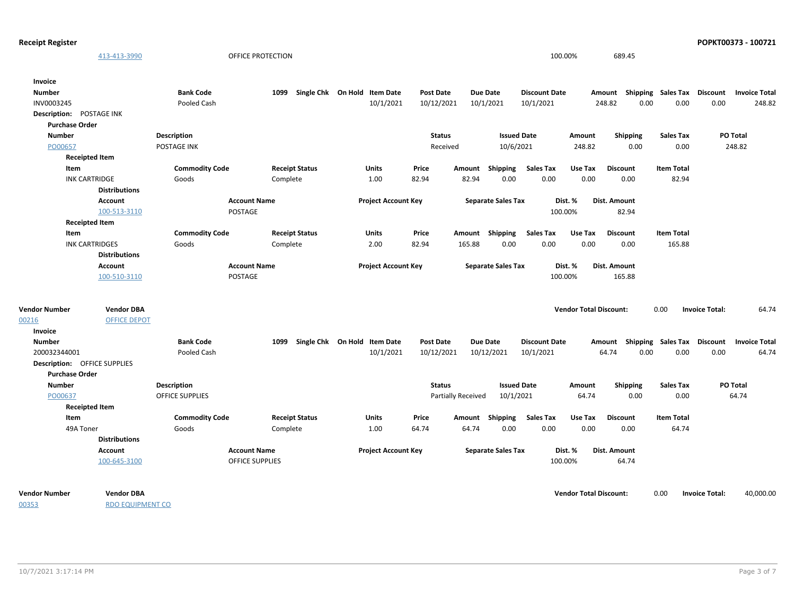| <b>Receipt Register</b>                   |                        |                        |                              |                  |                           |                      |                               |                                    |                   |                       | POPKT00373 - 100721    |
|-------------------------------------------|------------------------|------------------------|------------------------------|------------------|---------------------------|----------------------|-------------------------------|------------------------------------|-------------------|-----------------------|------------------------|
| 413-413-3990                              |                        | OFFICE PROTECTION      |                              |                  |                           |                      | 100.00%                       | 689.45                             |                   |                       |                        |
| Invoice                                   |                        |                        |                              |                  |                           |                      |                               |                                    |                   |                       |                        |
| <b>Number</b>                             | <b>Bank Code</b>       | 1099                   | Single Chk On Hold Item Date | <b>Post Date</b> | <b>Due Date</b>           | <b>Discount Date</b> |                               | Amount Shipping Sales Tax          |                   |                       | Discount Invoice Total |
| INV0003245                                | Pooled Cash            |                        | 10/1/2021                    | 10/12/2021       | 10/1/2021                 | 10/1/2021            | 248.82                        | 0.00                               | 0.00              | 0.00                  | 248.82                 |
| Description: POSTAGE INK                  |                        |                        |                              |                  |                           |                      |                               |                                    |                   |                       |                        |
| <b>Purchase Order</b>                     |                        |                        |                              |                  |                           |                      |                               |                                    |                   |                       |                        |
| <b>Number</b>                             | Description            |                        |                              | <b>Status</b>    |                           | <b>Issued Date</b>   | Amount                        | <b>Shipping</b>                    | <b>Sales Tax</b>  | PO Total              |                        |
| PO00657                                   | <b>POSTAGE INK</b>     |                        |                              | Received         |                           | 10/6/2021            | 248.82                        | 0.00                               | 0.00              |                       | 248.82                 |
| <b>Receipted Item</b>                     |                        |                        |                              |                  |                           |                      |                               |                                    |                   |                       |                        |
| Item                                      | <b>Commodity Code</b>  | <b>Receipt Status</b>  | Units                        | Price            | Amount Shipping           | <b>Sales Tax</b>     | Use Tax                       | <b>Discount</b>                    | <b>Item Total</b> |                       |                        |
| <b>INK CARTRIDGE</b>                      | Goods                  | Complete               | 1.00                         | 82.94            | 82.94                     | 0.00<br>0.00         | 0.00                          | 0.00                               | 82.94             |                       |                        |
| <b>Distributions</b>                      |                        |                        |                              |                  |                           |                      |                               |                                    |                   |                       |                        |
| Account                                   | <b>Account Name</b>    |                        | <b>Project Account Key</b>   |                  | <b>Separate Sales Tax</b> |                      | Dist. %                       | Dist. Amount                       |                   |                       |                        |
| 100-513-3110                              | POSTAGE                |                        |                              |                  |                           |                      | 100.00%                       | 82.94                              |                   |                       |                        |
| <b>Receipted Item</b>                     |                        |                        |                              |                  |                           |                      |                               |                                    |                   |                       |                        |
| Item                                      | <b>Commodity Code</b>  | <b>Receipt Status</b>  | <b>Units</b>                 | Price            | Amount Shipping           | <b>Sales Tax</b>     | Use Tax                       | <b>Discount</b>                    | <b>Item Total</b> |                       |                        |
| <b>INK CARTRIDGES</b>                     | Goods                  | Complete               | 2.00                         | 82.94            | 165.88                    | 0.00<br>0.00         | 0.00                          | 0.00                               | 165.88            |                       |                        |
| <b>Distributions</b>                      |                        |                        |                              |                  |                           |                      |                               |                                    |                   |                       |                        |
| Account                                   | <b>Account Name</b>    |                        | <b>Project Account Key</b>   |                  | <b>Separate Sales Tax</b> |                      | Dist. %                       | Dist. Amount                       |                   |                       |                        |
| 100-510-3110                              | POSTAGE                |                        |                              |                  |                           |                      | 100.00%                       | 165.88                             |                   |                       |                        |
| <b>Vendor Number</b><br><b>Vendor DBA</b> |                        |                        |                              |                  |                           |                      | <b>Vendor Total Discount:</b> |                                    | 0.00              | <b>Invoice Total:</b> | 64.74                  |
| 00216<br><b>OFFICE DEPOT</b>              |                        |                        |                              |                  |                           |                      |                               |                                    |                   |                       |                        |
| Invoice                                   |                        |                        |                              |                  |                           |                      |                               |                                    |                   |                       |                        |
| <b>Number</b>                             | <b>Bank Code</b>       | 1099                   | Single Chk On Hold Item Date | <b>Post Date</b> | Due Date                  | <b>Discount Date</b> |                               | Amount Shipping Sales Tax Discount |                   |                       | <b>Invoice Total</b>   |
| 200032344001                              | Pooled Cash            |                        | 10/1/2021                    | 10/12/2021       | 10/12/2021                | 10/1/2021            | 64.74                         | 0.00                               | 0.00              | 0.00                  | 64.74                  |
| <b>Description: OFFICE SUPPLIES</b>       |                        |                        |                              |                  |                           |                      |                               |                                    |                   |                       |                        |
| <b>Purchase Order</b>                     |                        |                        |                              |                  |                           |                      |                               |                                    |                   |                       |                        |
| <b>Number</b>                             | <b>Description</b>     |                        |                              | <b>Status</b>    |                           | <b>Issued Date</b>   | Amount                        | <b>Shipping</b>                    | <b>Sales Tax</b>  | PO Total              |                        |
| PO00637                                   | <b>OFFICE SUPPLIES</b> |                        |                              |                  | Partially Received        | 10/1/2021            | 64.74                         | 0.00                               | 0.00              |                       | 64.74                  |
| <b>Receipted Item</b>                     |                        |                        |                              |                  |                           |                      |                               |                                    |                   |                       |                        |
| Item                                      | <b>Commodity Code</b>  | <b>Receipt Status</b>  | <b>Units</b>                 | Price            | Amount Shipping           | Sales Tax            | Use Tax                       | <b>Discount</b>                    | <b>Item Total</b> |                       |                        |
| 49A Toner                                 | Goods                  | Complete               | 1.00                         | 64.74            | 64.74                     | 0.00<br>0.00         | 0.00                          | 0.00                               | 64.74             |                       |                        |
| <b>Distributions</b>                      |                        |                        |                              |                  |                           |                      |                               |                                    |                   |                       |                        |
| Account                                   | <b>Account Name</b>    |                        | <b>Project Account Key</b>   |                  | <b>Separate Sales Tax</b> |                      | Dist. %                       | <b>Dist. Amount</b>                |                   |                       |                        |
| 100-645-3100                              |                        | <b>OFFICE SUPPLIES</b> |                              |                  |                           |                      | 100.00%                       | 64.74                              |                   |                       |                        |
|                                           |                        |                        |                              |                  |                           |                      |                               |                                    |                   |                       |                        |

00353

RDO EQUIPMENT CO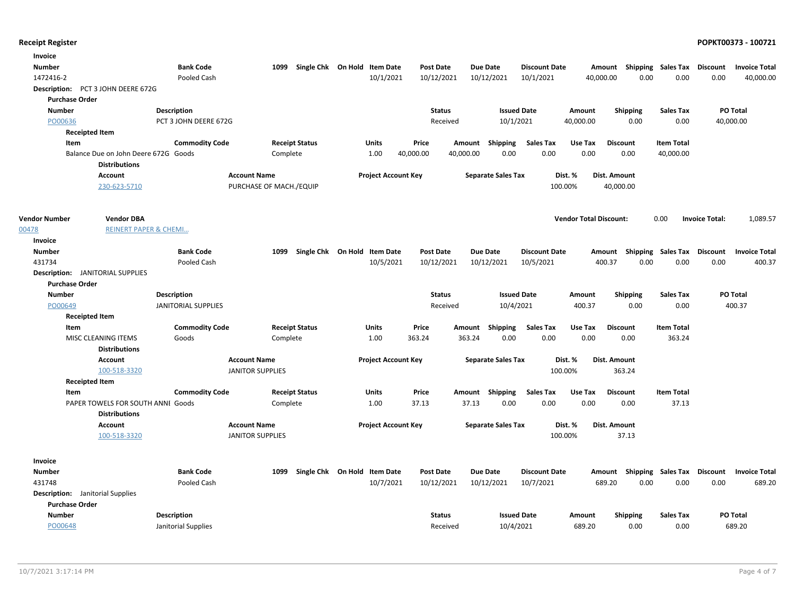| Invoice                                 |                                                              |                            |                         |                              |                            |                  |           |                           |                      |                               |                                    |                   |                       |                      |
|-----------------------------------------|--------------------------------------------------------------|----------------------------|-------------------------|------------------------------|----------------------------|------------------|-----------|---------------------------|----------------------|-------------------------------|------------------------------------|-------------------|-----------------------|----------------------|
| <b>Number</b>                           |                                                              | <b>Bank Code</b>           | 1099                    | Single Chk On Hold Item Date |                            | <b>Post Date</b> |           | Due Date                  | <b>Discount Date</b> |                               | Amount Shipping Sales Tax Discount |                   |                       | <b>Invoice Total</b> |
| 1472416-2                               |                                                              | Pooled Cash                |                         |                              | 10/1/2021                  | 10/12/2021       |           | 10/12/2021                | 10/1/2021            | 40,000.00                     | 0.00                               | 0.00              | 0.00                  | 40,000.00            |
|                                         | Description: PCT 3 JOHN DEERE 672G                           |                            |                         |                              |                            |                  |           |                           |                      |                               |                                    |                   |                       |                      |
| <b>Purchase Order</b>                   |                                                              |                            |                         |                              |                            |                  |           |                           |                      |                               |                                    |                   |                       |                      |
| <b>Number</b>                           |                                                              | <b>Description</b>         |                         |                              |                            | <b>Status</b>    |           | <b>Issued Date</b>        |                      | Amount                        | <b>Shipping</b>                    | <b>Sales Tax</b>  |                       | <b>PO Total</b>      |
| PO00636                                 |                                                              | PCT 3 JOHN DEERE 672G      |                         |                              |                            | Received         |           | 10/1/2021                 |                      | 40,000.00                     | 0.00                               | 0.00              |                       | 40,000.00            |
|                                         | <b>Receipted Item</b>                                        |                            |                         |                              |                            |                  |           |                           |                      |                               |                                    |                   |                       |                      |
| Item                                    |                                                              | <b>Commodity Code</b>      |                         | <b>Receipt Status</b>        | Units                      | Price            |           | Amount Shipping           | <b>Sales Tax</b>     | Use Tax                       | <b>Discount</b>                    | <b>Item Total</b> |                       |                      |
|                                         | Balance Due on John Deere 672G Goods<br><b>Distributions</b> |                            | Complete                |                              | 1.00                       | 40,000.00        | 40,000.00 | 0.00                      | 0.00                 | 0.00                          | 0.00                               | 40,000.00         |                       |                      |
|                                         | <b>Account</b>                                               |                            | <b>Account Name</b>     |                              | <b>Project Account Key</b> |                  |           | <b>Separate Sales Tax</b> |                      | Dist. %                       | Dist. Amount                       |                   |                       |                      |
|                                         | 230-623-5710                                                 |                            | PURCHASE OF MACH./EQUIP |                              |                            |                  |           |                           | 100.00%              |                               | 40,000.00                          |                   |                       |                      |
| <b>Vendor Number</b>                    | <b>Vendor DBA</b>                                            |                            |                         |                              |                            |                  |           |                           |                      | <b>Vendor Total Discount:</b> |                                    | 0.00              | <b>Invoice Total:</b> | 1,089.57             |
| 00478                                   | <b>REINERT PAPER &amp; CHEMI</b>                             |                            |                         |                              |                            |                  |           |                           |                      |                               |                                    |                   |                       |                      |
| Invoice                                 |                                                              |                            |                         |                              |                            |                  |           |                           |                      |                               |                                    |                   |                       |                      |
| <b>Number</b>                           |                                                              | <b>Bank Code</b>           | 1099                    | Single Chk On Hold Item Date |                            | <b>Post Date</b> |           | Due Date                  | <b>Discount Date</b> |                               | Amount Shipping Sales Tax Discount |                   |                       | <b>Invoice Total</b> |
| 431734                                  |                                                              | Pooled Cash                |                         |                              | 10/5/2021                  | 10/12/2021       |           | 10/12/2021                | 10/5/2021            | 400.37                        | 0.00                               | 0.00              | 0.00                  | 400.37               |
|                                         | Description: JANITORIAL SUPPLIES                             |                            |                         |                              |                            |                  |           |                           |                      |                               |                                    |                   |                       |                      |
| <b>Purchase Order</b>                   |                                                              |                            |                         |                              |                            |                  |           |                           |                      |                               |                                    |                   |                       |                      |
| <b>Number</b>                           |                                                              | <b>Description</b>         |                         |                              |                            | <b>Status</b>    |           | <b>Issued Date</b>        |                      | Amount                        | <b>Shipping</b>                    | <b>Sales Tax</b>  |                       | PO Total             |
| PO00649                                 |                                                              | <b>JANITORIAL SUPPLIES</b> |                         |                              |                            | Received         |           | 10/4/2021                 |                      | 400.37                        | 0.00                               | 0.00              |                       | 400.37               |
|                                         | <b>Receipted Item</b>                                        |                            |                         |                              |                            |                  |           |                           |                      |                               |                                    |                   |                       |                      |
| Item                                    |                                                              | <b>Commodity Code</b>      |                         | <b>Receipt Status</b>        | Units                      | Price            | Amount    | Shipping                  | <b>Sales Tax</b>     | Use Tax                       | <b>Discount</b>                    | <b>Item Total</b> |                       |                      |
|                                         | MISC CLEANING ITEMS                                          | Goods                      | Complete                |                              | 1.00                       | 363.24           | 363.24    | 0.00                      | 0.00                 | 0.00                          | 0.00                               | 363.24            |                       |                      |
|                                         | <b>Distributions</b><br>Account                              |                            | <b>Account Name</b>     |                              | <b>Project Account Key</b> |                  |           | <b>Separate Sales Tax</b> |                      | Dist. %                       | Dist. Amount                       |                   |                       |                      |
|                                         | 100-518-3320                                                 |                            | <b>JANITOR SUPPLIES</b> |                              |                            |                  |           |                           | 100.00%              |                               | 363.24                             |                   |                       |                      |
|                                         | <b>Receipted Item</b>                                        |                            |                         |                              |                            |                  |           |                           |                      |                               |                                    |                   |                       |                      |
| Item                                    |                                                              | <b>Commodity Code</b>      |                         | <b>Receipt Status</b>        | Units                      | Price            |           | Amount Shipping           | <b>Sales Tax</b>     | Use Tax                       | <b>Discount</b>                    | <b>Item Total</b> |                       |                      |
|                                         | PAPER TOWELS FOR SOUTH ANNI Goods                            |                            | Complete                |                              | 1.00                       | 37.13            | 37.13     | 0.00                      | 0.00                 | 0.00                          | 0.00                               | 37.13             |                       |                      |
|                                         | <b>Distributions</b>                                         |                            |                         |                              |                            |                  |           |                           |                      |                               |                                    |                   |                       |                      |
|                                         | <b>Account</b>                                               |                            | <b>Account Name</b>     |                              | <b>Project Account Key</b> |                  |           | <b>Separate Sales Tax</b> |                      | Dist. %                       | Dist. Amount                       |                   |                       |                      |
|                                         | 100-518-3320                                                 |                            | <b>JANITOR SUPPLIES</b> |                              |                            |                  |           |                           | 100.00%              |                               | 37.13                              |                   |                       |                      |
|                                         |                                                              |                            |                         |                              |                            |                  |           |                           |                      |                               |                                    |                   |                       |                      |
| Invoice                                 |                                                              |                            |                         |                              |                            |                  |           |                           |                      |                               |                                    |                   |                       |                      |
| <b>Number</b>                           |                                                              | <b>Bank Code</b>           | 1099                    | Single Chk On Hold Item Date |                            | <b>Post Date</b> |           | Due Date                  | <b>Discount Date</b> |                               | Amount Shipping Sales Tax Discount |                   |                       | <b>Invoice Total</b> |
| 431748                                  |                                                              | Pooled Cash                |                         |                              | 10/7/2021                  | 10/12/2021       |           | 10/12/2021                | 10/7/2021            | 689.20                        | 0.00                               | 0.00              | 0.00                  | 689.20               |
| <b>Description:</b> Janitorial Supplies |                                                              |                            |                         |                              |                            |                  |           |                           |                      |                               |                                    |                   |                       |                      |
| <b>Purchase Order</b>                   |                                                              |                            |                         |                              |                            |                  |           |                           |                      |                               |                                    |                   |                       |                      |
| <b>Number</b>                           |                                                              | <b>Description</b>         |                         |                              |                            | <b>Status</b>    |           | <b>Issued Date</b>        |                      | Amount                        | <b>Shipping</b>                    | <b>Sales Tax</b>  |                       | PO Total             |
| PO00648                                 |                                                              | Janitorial Supplies        |                         |                              |                            | Received         |           | 10/4/2021                 |                      | 689.20                        | 0.00                               | 0.00              |                       | 689.20               |
|                                         |                                                              |                            |                         |                              |                            |                  |           |                           |                      |                               |                                    |                   |                       |                      |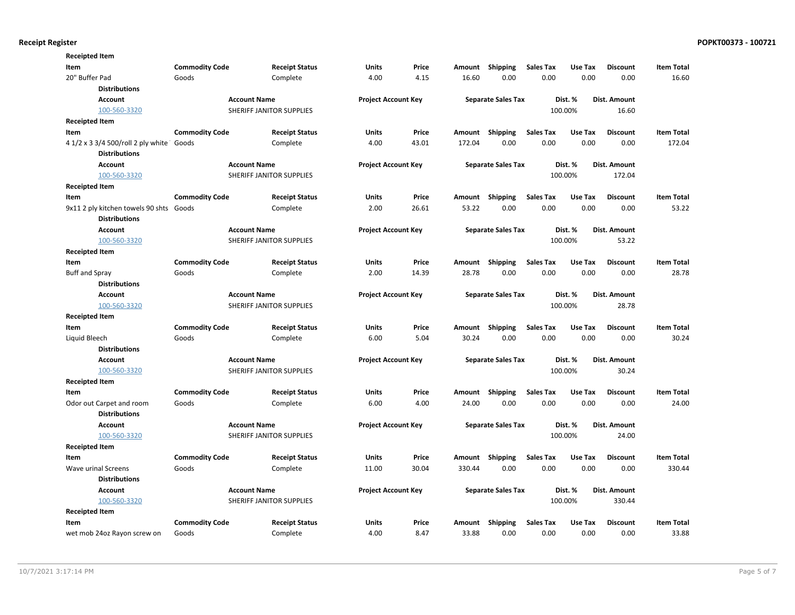| <b>Receipted Item</b>                    |                       |                          |                            |       |        |                           |                  |         |                 |                   |
|------------------------------------------|-----------------------|--------------------------|----------------------------|-------|--------|---------------------------|------------------|---------|-----------------|-------------------|
| Item                                     | <b>Commodity Code</b> | <b>Receipt Status</b>    | Units                      | Price | Amount | Shipping                  | <b>Sales Tax</b> | Use Tax | <b>Discount</b> | <b>Item Total</b> |
| 20" Buffer Pad                           | Goods                 | Complete                 | 4.00                       | 4.15  | 16.60  | 0.00                      | 0.00             | 0.00    | 0.00            | 16.60             |
| <b>Distributions</b>                     |                       |                          |                            |       |        |                           |                  |         |                 |                   |
| <b>Account</b>                           |                       | <b>Account Name</b>      | <b>Project Account Key</b> |       |        | <b>Separate Sales Tax</b> |                  | Dist. % | Dist. Amount    |                   |
| 100-560-3320                             |                       | SHERIFF JANITOR SUPPLIES |                            |       |        |                           |                  | 100.00% | 16.60           |                   |
| <b>Receipted Item</b>                    |                       |                          |                            |       |        |                           |                  |         |                 |                   |
| Item                                     | <b>Commodity Code</b> | <b>Receipt Status</b>    | Units                      | Price | Amount | Shipping                  | <b>Sales Tax</b> | Use Tax | <b>Discount</b> | <b>Item Total</b> |
| 4 1/2 x 3 3/4 500/roll 2 ply white Goods |                       | Complete                 | 4.00                       | 43.01 | 172.04 | 0.00                      | 0.00             | 0.00    | 0.00            | 172.04            |
| <b>Distributions</b>                     |                       |                          |                            |       |        |                           |                  |         |                 |                   |
| <b>Account</b>                           |                       | <b>Account Name</b>      | <b>Project Account Key</b> |       |        | <b>Separate Sales Tax</b> |                  | Dist. % | Dist. Amount    |                   |
| 100-560-3320                             |                       | SHERIFF JANITOR SUPPLIES |                            |       |        |                           |                  | 100.00% | 172.04          |                   |
| <b>Receipted Item</b>                    |                       |                          |                            |       |        |                           |                  |         |                 |                   |
| Item                                     | <b>Commodity Code</b> | <b>Receipt Status</b>    | Units                      | Price | Amount | Shipping                  | <b>Sales Tax</b> | Use Tax | <b>Discount</b> | <b>Item Total</b> |
| 9x11 2 ply kitchen towels 90 shts Goods  |                       | Complete                 | 2.00                       | 26.61 | 53.22  | 0.00                      | 0.00             | 0.00    | 0.00            | 53.22             |
| <b>Distributions</b>                     |                       |                          |                            |       |        |                           |                  |         |                 |                   |
| <b>Account</b>                           |                       | <b>Account Name</b>      | <b>Project Account Key</b> |       |        | <b>Separate Sales Tax</b> |                  | Dist. % | Dist. Amount    |                   |
| 100-560-3320                             |                       | SHERIFF JANITOR SUPPLIES |                            |       |        |                           |                  | 100.00% | 53.22           |                   |
| <b>Receipted Item</b>                    |                       |                          |                            |       |        |                           |                  |         |                 |                   |
| Item                                     | <b>Commodity Code</b> | <b>Receipt Status</b>    | Units                      | Price | Amount | Shipping                  | <b>Sales Tax</b> | Use Tax | <b>Discount</b> | <b>Item Total</b> |
| <b>Buff and Spray</b>                    | Goods                 | Complete                 | 2.00                       | 14.39 | 28.78  | 0.00                      | 0.00             | 0.00    | 0.00            | 28.78             |
| <b>Distributions</b>                     |                       |                          |                            |       |        |                           |                  |         |                 |                   |
| <b>Account</b>                           |                       | <b>Account Name</b>      | <b>Project Account Key</b> |       |        | <b>Separate Sales Tax</b> |                  | Dist. % | Dist. Amount    |                   |
| 100-560-3320                             |                       | SHERIFF JANITOR SUPPLIES |                            |       |        |                           |                  | 100.00% | 28.78           |                   |
| <b>Receipted Item</b>                    |                       |                          |                            |       |        |                           |                  |         |                 |                   |
| Item                                     | <b>Commodity Code</b> | <b>Receipt Status</b>    | <b>Units</b>               | Price | Amount | Shipping                  | <b>Sales Tax</b> | Use Tax | <b>Discount</b> | <b>Item Total</b> |
| Liquid Bleech                            | Goods                 | Complete                 | 6.00                       | 5.04  | 30.24  | 0.00                      | 0.00             | 0.00    | 0.00            | 30.24             |
| <b>Distributions</b>                     |                       |                          |                            |       |        |                           |                  |         |                 |                   |
| <b>Account</b>                           |                       | <b>Account Name</b>      | <b>Project Account Key</b> |       |        | <b>Separate Sales Tax</b> |                  | Dist. % | Dist. Amount    |                   |
| 100-560-3320                             |                       | SHERIFF JANITOR SUPPLIES |                            |       |        |                           |                  | 100.00% | 30.24           |                   |
| <b>Receipted Item</b>                    |                       |                          |                            |       |        |                           |                  |         |                 |                   |
| Item                                     | <b>Commodity Code</b> | <b>Receipt Status</b>    | Units                      | Price | Amount | Shipping                  | <b>Sales Tax</b> | Use Tax | <b>Discount</b> | <b>Item Total</b> |
| Odor out Carpet and room                 | Goods                 | Complete                 | 6.00                       | 4.00  | 24.00  | 0.00                      | 0.00             | 0.00    | 0.00            | 24.00             |
| <b>Distributions</b>                     |                       |                          |                            |       |        |                           |                  |         |                 |                   |
| <b>Account</b>                           |                       | <b>Account Name</b>      | <b>Project Account Key</b> |       |        | <b>Separate Sales Tax</b> |                  | Dist. % | Dist. Amount    |                   |
| 100-560-3320                             |                       | SHERIFF JANITOR SUPPLIES |                            |       |        |                           |                  | 100.00% | 24.00           |                   |
| <b>Receipted Item</b>                    |                       |                          |                            |       |        |                           |                  |         |                 |                   |
| Item                                     | <b>Commodity Code</b> | <b>Receipt Status</b>    | Units                      | Price | Amount | Shipping                  | <b>Sales Tax</b> | Use Tax | <b>Discount</b> | <b>Item Total</b> |
| Wave urinal Screens                      | Goods                 | Complete                 | 11.00                      | 30.04 | 330.44 | 0.00                      | 0.00             | 0.00    | 0.00            | 330.44            |
| <b>Distributions</b>                     |                       |                          |                            |       |        |                           |                  |         |                 |                   |
| <b>Account</b>                           |                       | <b>Account Name</b>      | <b>Project Account Key</b> |       |        | <b>Separate Sales Tax</b> |                  | Dist. % | Dist. Amount    |                   |
| 100-560-3320                             |                       | SHERIFF JANITOR SUPPLIES |                            |       |        |                           |                  | 100.00% | 330.44          |                   |
| <b>Receipted Item</b>                    |                       |                          |                            |       |        |                           |                  |         |                 |                   |
| Item                                     | <b>Commodity Code</b> | <b>Receipt Status</b>    | <b>Units</b>               | Price | Amount | <b>Shipping</b>           | <b>Sales Tax</b> | Use Tax | <b>Discount</b> | <b>Item Total</b> |
| wet mob 24oz Rayon screw on              | Goods                 | Complete                 | 4.00                       | 8.47  | 33.88  | 0.00                      | 0.00             | 0.00    | 0.00            | 33.88             |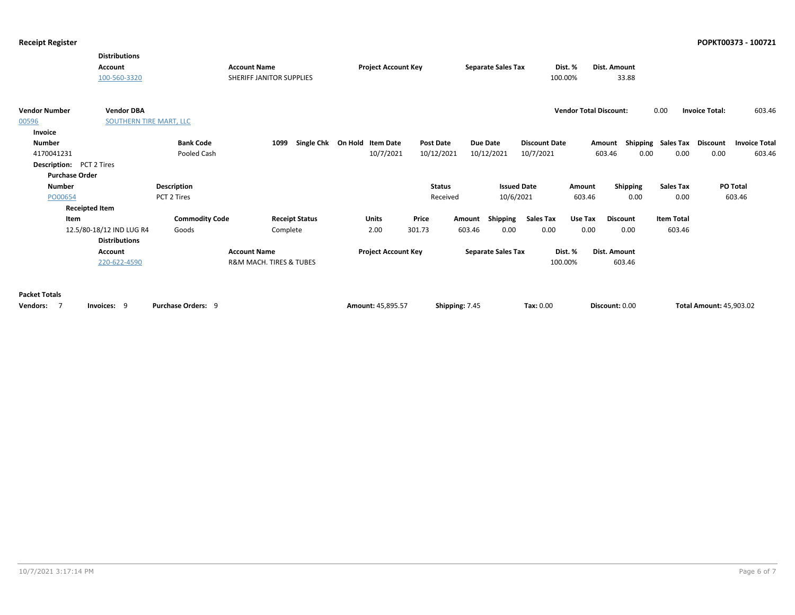|                                    | <b>Distributions</b><br>Account<br>100-560-3320 |                           | <b>Account Name</b><br>SHERIFF JANITOR SUPPLIES | <b>Project Account Key</b>   |                  | <b>Separate Sales Tax</b> | Dist. %<br>100.00%   |                               | Dist. Amount<br>33.88 |                             |                                |                      |
|------------------------------------|-------------------------------------------------|---------------------------|-------------------------------------------------|------------------------------|------------------|---------------------------|----------------------|-------------------------------|-----------------------|-----------------------------|--------------------------------|----------------------|
| <b>Vendor Number</b>               | <b>Vendor DBA</b>                               |                           |                                                 |                              |                  |                           |                      | <b>Vendor Total Discount:</b> |                       | 0.00                        | <b>Invoice Total:</b>          | 603.46               |
| 00596                              | SOUTHERN TIRE MART, LLC                         |                           |                                                 |                              |                  |                           |                      |                               |                       |                             |                                |                      |
| Invoice                            |                                                 |                           |                                                 |                              |                  |                           |                      |                               |                       |                             |                                |                      |
| <b>Number</b>                      |                                                 | <b>Bank Code</b>          | 1099                                            | Single Chk On Hold Item Date | <b>Post Date</b> | <b>Due Date</b>           | <b>Discount Date</b> |                               | Amount                | Shipping Sales Tax Discount |                                | <b>Invoice Total</b> |
| 4170041231                         |                                                 | Pooled Cash               |                                                 | 10/7/2021                    | 10/12/2021       | 10/12/2021                | 10/7/2021            |                               | 603.46<br>0.00        | 0.00                        | 0.00                           | 603.46               |
| <b>Description:</b> PCT 2 Tires    |                                                 |                           |                                                 |                              |                  |                           |                      |                               |                       |                             |                                |                      |
| <b>Purchase Order</b>              |                                                 |                           |                                                 |                              |                  |                           |                      |                               |                       |                             |                                |                      |
| <b>Number</b>                      |                                                 | <b>Description</b>        |                                                 |                              | <b>Status</b>    |                           | <b>Issued Date</b>   | Amount                        | Shipping              | <b>Sales Tax</b>            |                                | <b>PO Total</b>      |
| PO00654                            |                                                 | PCT 2 Tires               |                                                 |                              | Received         | 10/6/2021                 |                      | 603.46                        | 0.00                  | 0.00                        |                                | 603.46               |
|                                    | <b>Receipted Item</b>                           |                           |                                                 |                              |                  |                           |                      |                               |                       |                             |                                |                      |
| Item                               |                                                 | <b>Commodity Code</b>     | <b>Receipt Status</b>                           | <b>Units</b>                 | Price            | Shipping<br>Amount        | <b>Sales Tax</b>     | Use Tax                       | <b>Discount</b>       | <b>Item Total</b>           |                                |                      |
|                                    | 12.5/80-18/12 IND LUG R4                        | Goods                     | Complete                                        | 2.00                         | 301.73           | 603.46<br>0.00            | 0.00                 | 0.00                          | 0.00                  | 603.46                      |                                |                      |
|                                    | <b>Distributions</b>                            |                           |                                                 |                              |                  |                           |                      |                               |                       |                             |                                |                      |
|                                    | Account                                         |                           | <b>Account Name</b>                             | <b>Project Account Key</b>   |                  | <b>Separate Sales Tax</b> | Dist. %              |                               | Dist. Amount          |                             |                                |                      |
|                                    | 220-622-4590                                    |                           | R&M MACH. TIRES & TUBES                         |                              |                  |                           | 100.00%              |                               | 603.46                |                             |                                |                      |
| <b>Packet Totals</b><br>Vendors: 7 | Invoices: 9                                     | <b>Purchase Orders: 9</b> |                                                 | Amount: 45.895.57            | Shipping: 7.45   |                           | Tax: 0.00            |                               | Discount: 0.00        |                             | <b>Total Amount: 45,903.02</b> |                      |